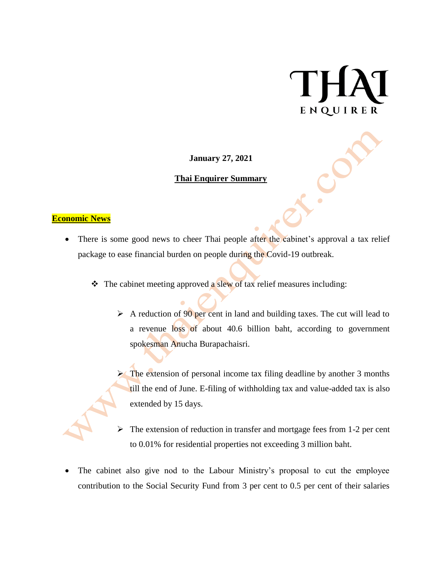# ENQUIRER

**January 27, 2021**

## **Thai Enquirer Summary**

## **Economic News**

- There is some good news to cheer Thai people after the cabinet's approval a tax relief package to ease financial burden on people during the Covid-19 outbreak.
	- $\triangleleft$  The cabinet meeting approved a slew of tax relief measures including:
		- $\triangleright$  A reduction of 90 per cent in land and building taxes. The cut will lead to a revenue loss of about 40.6 billion baht, according to government spokesman Anucha Burapachaisri.
		- The extension of personal income tax filing deadline by another 3 months till the end of June. E-filing of withholding tax and value-added tax is also extended by 15 days.
		- The extension of reduction in transfer and mortgage fees from 1-2 per cent to 0.01% for residential properties not exceeding 3 million baht.
- The cabinet also give nod to the Labour Ministry's proposal to cut the employee contribution to the Social Security Fund from 3 per cent to 0.5 per cent of their salaries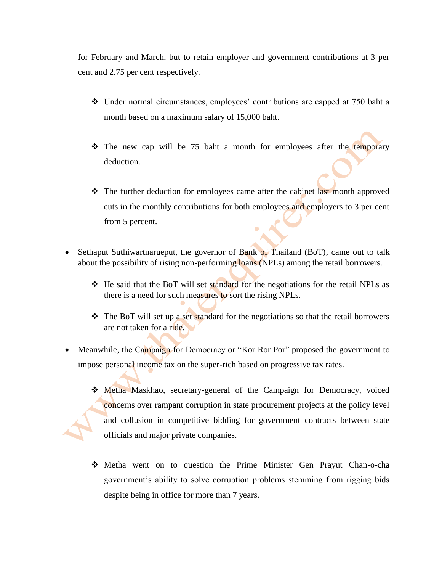for February and March, but to retain employer and government contributions at 3 per cent and 2.75 per cent respectively.

- Under normal circumstances, employees' contributions are capped at 750 baht a month based on a maximum salary of 15,000 baht.
- The new cap will be 75 baht a month for employees after the temporary deduction.
- The further deduction for employees came after the cabinet last month approved cuts in the monthly contributions for both employees and employers to 3 per cent from 5 percent.
- Sethaput Suthiwartnarueput, the governor of Bank of Thailand (BoT), came out to talk about the possibility of rising non-performing loans (NPLs) among the retail borrowers.
	- $\div$  He said that the BoT will set standard for the negotiations for the retail NPLs as there is a need for such measures to sort the rising NPLs.
	- The BoT will set up a set standard for the negotiations so that the retail borrowers are not taken for a ride.
- Meanwhile, the Campaign for Democracy or "Kor Ror Por" proposed the government to impose personal income tax on the super-rich based on progressive tax rates.
	- Metha Maskhao, secretary-general of the Campaign for Democracy, voiced concerns over rampant corruption in state procurement projects at the policy level and collusion in competitive bidding for government contracts between state officials and major private companies.
	- Metha went on to question the Prime Minister Gen Prayut Chan-o-cha government's ability to solve corruption problems stemming from rigging bids despite being in office for more than 7 years.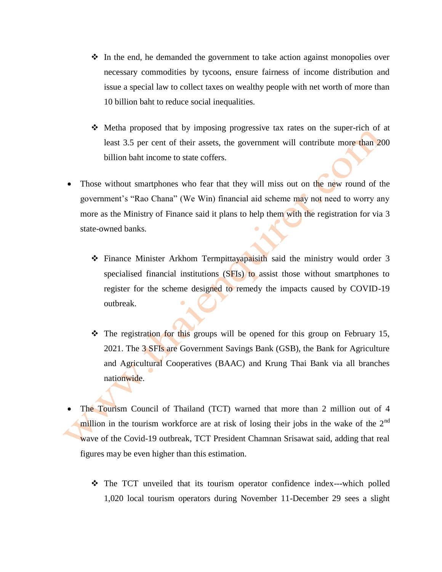- $\div$  In the end, he demanded the government to take action against monopolies over necessary commodities by tycoons, ensure fairness of income distribution and issue a special law to collect taxes on wealthy people with net worth of more than 10 billion baht to reduce social inequalities.
- Metha proposed that by imposing progressive tax rates on the super-rich of at least 3.5 per cent of their assets, the government will contribute more than 200 billion baht income to state coffers.
- Those without smartphones who fear that they will miss out on the new round of the government's "Rao Chana" (We Win) financial aid scheme may not need to worry any more as the Ministry of Finance said it plans to help them with the registration for via 3 state-owned banks.
	- $\div$  Finance Minister Arkhom Termpittayapaisith said the ministry would order 3 specialised financial institutions (SFIs) to assist those without smartphones to register for the scheme designed to remedy the impacts caused by COVID-19 outbreak.
	- The registration for this groups will be opened for this group on February 15, 2021. The 3 SFIs are Government Savings Bank (GSB), the Bank for Agriculture and Agricultural Cooperatives (BAAC) and Krung Thai Bank via all branches nationwide.
- The Tourism Council of Thailand (TCT) warned that more than 2 million out of 4 million in the tourism workforce are at risk of losing their jobs in the wake of the  $2<sup>nd</sup>$ wave of the Covid-19 outbreak, TCT President Chamnan Srisawat said, adding that real figures may be even higher than this estimation.
	- The TCT unveiled that its tourism operator confidence index---which polled 1,020 local tourism operators during November 11-December 29 sees a slight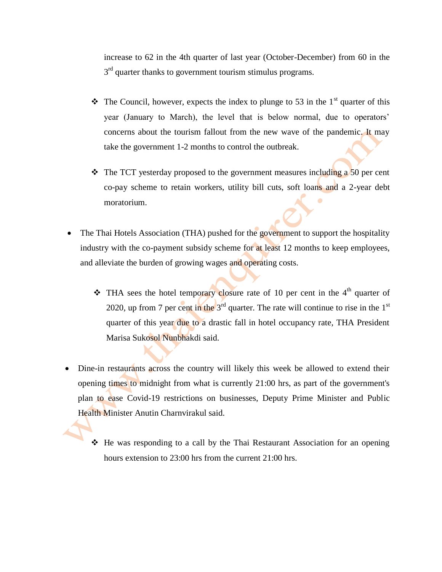increase to 62 in the 4th quarter of last year (October-December) from 60 in the  $3<sup>rd</sup>$  quarter thanks to government tourism stimulus programs.

- $\cdot \cdot$  The Council, however, expects the index to plunge to 53 in the 1<sup>st</sup> quarter of this year (January to March), the level that is below normal, due to operators' concerns about the tourism fallout from the new wave of the pandemic. It may take the government 1-2 months to control the outbreak.
- $\cdot \cdot$  The TCT yesterday proposed to the government measures including a 50 per cent co-pay scheme to retain workers, utility bill cuts, soft loans and a 2-year debt moratorium.
- The Thai Hotels Association (THA) pushed for the government to support the hospitality industry with the co-payment subsidy scheme for at least 12 months to keep employees, and alleviate the burden of growing wages and operating costs.
	- $\cdot \cdot$  THA sees the hotel temporary closure rate of 10 per cent in the 4<sup>th</sup> quarter of 2020, up from 7 per cent in the  $3<sup>rd</sup>$  quarter. The rate will continue to rise in the  $1<sup>st</sup>$ quarter of this year due to a drastic fall in hotel occupancy rate, THA President Marisa Sukosol Nunbhakdi said.
- Dine-in restaurants across the country will likely this week be allowed to extend their opening times to midnight from what is currently 21:00 hrs, as part of the government's plan to ease Covid-19 restrictions on businesses, Deputy Prime Minister and Public Health Minister Anutin Charnvirakul said.
	- He was responding to a call by the Thai Restaurant Association for an opening hours extension to 23:00 hrs from the current 21:00 hrs.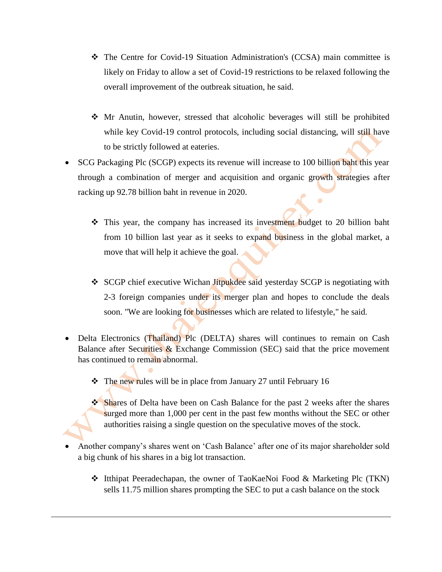- The Centre for Covid-19 Situation Administration's (CCSA) main committee is likely on Friday to allow a set of Covid-19 restrictions to be relaxed following the overall improvement of the outbreak situation, he said.
- Mr Anutin, however, stressed that alcoholic beverages will still be prohibited while key Covid-19 control protocols, including social distancing, will still have to be strictly followed at eateries.
- SCG Packaging Plc (SCGP) expects its revenue will increase to 100 billion baht this year through a combination of merger and acquisition and organic growth strategies after racking up 92.78 billion baht in revenue in 2020.
	- This year, the company has increased its investment budget to 20 billion baht from 10 billion last year as it seeks to expand business in the global market, a move that will help it achieve the goal.
	- \* SCGP chief executive Wichan Jitpukdee said yesterday SCGP is negotiating with 2-3 foreign companies under its merger plan and hopes to conclude the deals soon. "We are looking for businesses which are related to lifestyle," he said.
- Delta Electronics (Thailand) Plc (DELTA) shares will continues to remain on Cash Balance after Securities & Exchange Commission (SEC) said that the price movement has continued to remain abnormal.
	- The new rules will be in place from January 27 until February 16
	- Shares of Delta have been on Cash Balance for the past 2 weeks after the shares surged more than 1,000 per cent in the past few months without the SEC or other authorities raising a single question on the speculative moves of the stock.
- Another company's shares went on 'Cash Balance' after one of its major shareholder sold a big chunk of his shares in a big lot transaction.
	- Itthipat Peeradechapan, the owner of TaoKaeNoi Food & Marketing Plc (TKN) sells 11.75 million shares prompting the SEC to put a cash balance on the stock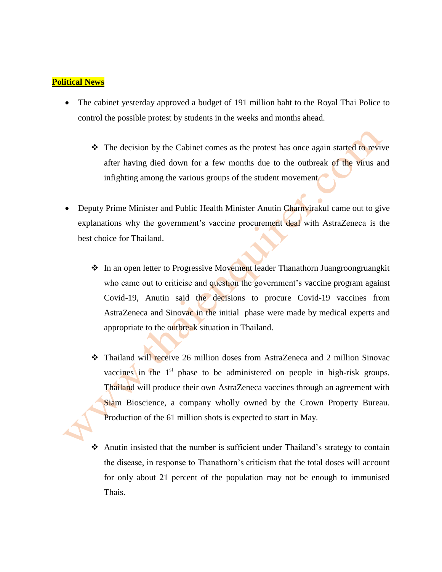## **Political News**

- The cabinet yesterday approved a budget of 191 million baht to the Royal Thai Police to control the possible protest by students in the weeks and months ahead.
	- $\hat{\mathbf{v}}$  The decision by the Cabinet comes as the protest has once again started to revive after having died down for a few months due to the outbreak of the virus and infighting among the various groups of the student movement.
- Deputy Prime Minister and Public Health Minister Anutin Charnvirakul came out to give explanations why the government's vaccine procurement deal with AstraZeneca is the best choice for Thailand.
	- ◆ In an open letter to Progressive Movement leader Thanathorn Juangroongruangkit who came out to criticise and question the government's vaccine program against Covid-19, Anutin said the decisions to procure Covid-19 vaccines from AstraZeneca and Sinovac in the initial phase were made by medical experts and appropriate to the outbreak situation in Thailand.
	- Thailand will receive 26 million doses from AstraZeneca and 2 million Sinovac vaccines in the  $1<sup>st</sup>$  phase to be administered on people in high-risk groups. Thailand will produce their own AstraZeneca vaccines through an agreement with Siam Bioscience, a company wholly owned by the Crown Property Bureau. Production of the 61 million shots is expected to start in May.
	- Anutin insisted that the number is sufficient under Thailand's strategy to contain the disease, in response to Thanathorn's criticism that the total doses will account for only about 21 percent of the population may not be enough to immunised Thais.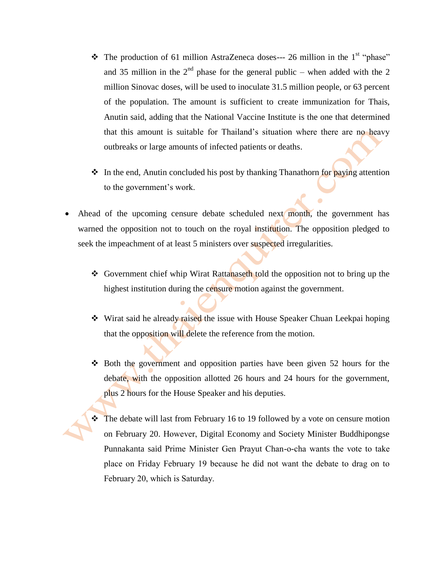- $\cdot \cdot$  The production of 61 million AstraZeneca doses--- 26 million in the 1<sup>st</sup> "phase" and 35 million in the  $2<sup>nd</sup>$  phase for the general public – when added with the 2 million Sinovac doses, will be used to inoculate 31.5 million people, or 63 percent of the population. The amount is sufficient to create immunization for Thais, Anutin said, adding that the National Vaccine Institute is the one that determined that this amount is suitable for Thailand's situation where there are no heavy outbreaks or large amounts of infected patients or deaths.
- $\cdot$  In the end, Anutin concluded his post by thanking Thanathorn for paying attention to the government's work.
- Ahead of the upcoming censure debate scheduled next month, the government has warned the opposition not to touch on the royal institution. The opposition pledged to seek the impeachment of at least 5 ministers over suspected irregularities.
	- \* Government chief whip Wirat Rattanaseth told the opposition not to bring up the highest institution during the censure motion against the government.
	- Wirat said he already raised the issue with House Speaker Chuan Leekpai hoping that the opposition will delete the reference from the motion.
	- $\cdot$  Both the government and opposition parties have been given 52 hours for the debate, with the opposition allotted 26 hours and 24 hours for the government, plus 2 hours for the House Speaker and his deputies.
	- The debate will last from February 16 to 19 followed by a vote on censure motion on February 20. However, Digital Economy and Society Minister Buddhipongse Punnakanta said Prime Minister Gen Prayut Chan-o-cha wants the vote to take place on Friday February 19 because he did not want the debate to drag on to February 20, which is Saturday.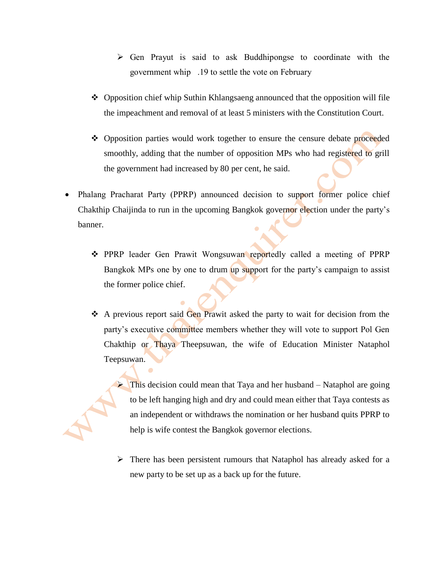- $\triangleright$  Gen Prayut is said to ask Buddhipongse to coordinate with the government whip .19 to settle the vote on February
- Opposition chief whip Suthin Khlangsaeng announced that the opposition will file the impeachment and removal of at least 5 ministers with the Constitution Court.
- Opposition parties would work together to ensure the censure debate proceeded smoothly, adding that the number of opposition MPs who had registered to grill the government had increased by 80 per cent, he said.
- Phalang Pracharat Party (PPRP) announced decision to support former police chief Chakthip Chaijinda to run in the upcoming Bangkok governor election under the party's banner.
	- PPRP leader Gen Prawit Wongsuwan reportedly called a meeting of PPRP Bangkok MPs one by one to drum up support for the party's campaign to assist the former police chief.
	- A previous report said Gen Prawit asked the party to wait for decision from the party's executive committee members whether they will vote to support Pol Gen Chakthip or Thaya Theepsuwan, the wife of Education Minister Nataphol Teepsuwan.

This decision could mean that Taya and her husband – Nataphol are going to be left hanging high and dry and could mean either that Taya contests as an independent or withdraws the nomination or her husband quits PPRP to help is wife contest the Bangkok governor elections.

 $\triangleright$  There has been persistent rumours that Nataphol has already asked for a new party to be set up as a back up for the future.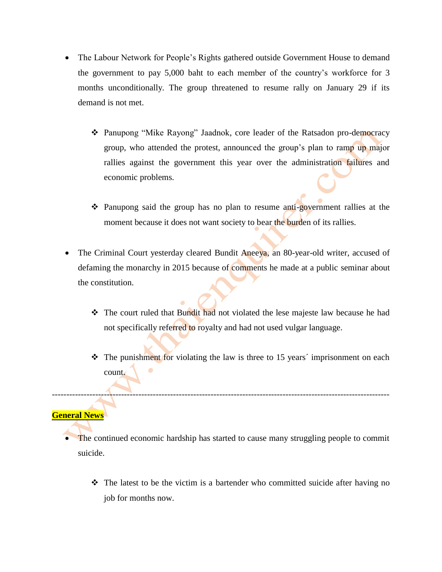- The Labour Network for People's Rights gathered outside Government House to demand the government to pay 5,000 baht to each member of the country's workforce for 3 months unconditionally. The group threatened to resume rally on January 29 if its demand is not met.
	- Panupong "Mike Rayong" Jaadnok, core leader of the Ratsadon pro-democracy group, who attended the protest, announced the group's plan to ramp up major rallies against the government this year over the administration failures and economic problems.
	- Panupong said the group has no plan to resume anti-government rallies at the moment because it does not want society to bear the burden of its rallies.
- The Criminal Court yesterday cleared Bundit Aneeya, an 80-year-old writer, accused of defaming the monarchy in 2015 because of comments he made at a public seminar about the constitution.
	- \* The court ruled that Bundit had not violated the lese majeste law because he had not specifically referred to royalty and had not used vulgar language.
	- $\cdot \cdot$  The punishment for violating the law is three to 15 years' imprisonment on each count.

## **General News**

 The continued economic hardship has started to cause many struggling people to commit suicide.

---------------------------------------------------------------------------------------------------------------------

 $\hat{\mathbf{v}}$  The latest to be the victim is a bartender who committed suicide after having no job for months now.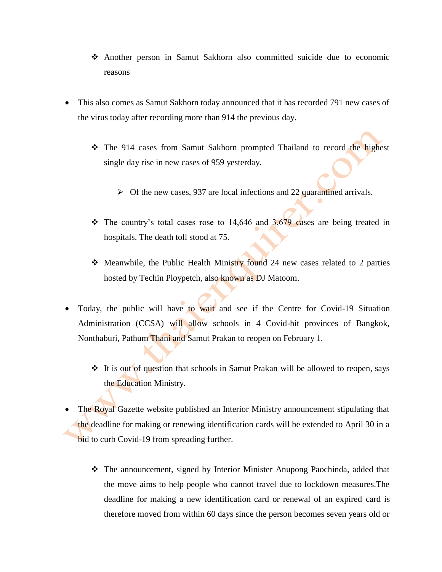- Another person in Samut Sakhorn also committed suicide due to economic reasons
- This also comes as Samut Sakhorn today announced that it has recorded 791 new cases of the virus today after recording more than 914 the previous day.
	- The 914 cases from Samut Sakhorn prompted Thailand to record the highest single day rise in new cases of 959 yesterday.
		- $\triangleright$  Of the new cases, 937 are local infections and 22 quarantined arrivals.
	- $\cdot \cdot$  The country's total cases rose to 14,646 and 3,679 cases are being treated in hospitals. The death toll stood at 75.
	- Meanwhile, the Public Health Ministry found 24 new cases related to 2 parties hosted by Techin Ploypetch, also known as DJ Matoom.
- Today, the public will have to wait and see if the Centre for Covid-19 Situation Administration (CCSA) will allow schools in 4 Covid-hit provinces of Bangkok, Nonthaburi, Pathum Thani and Samut Prakan to reopen on February 1.
	- It is out of question that schools in Samut Prakan will be allowed to reopen, says the Education Ministry.
- The Royal Gazette website published an Interior Ministry announcement stipulating that the deadline for making or renewing identification cards will be extended to April 30 in a bid to curb Covid-19 from spreading further.
	- The announcement, signed by Interior Minister Anupong Paochinda, added that the move aims to help people who cannot travel due to lockdown measures.The deadline for making a new identification card or renewal of an expired card is therefore moved from within 60 days since the person becomes seven years old or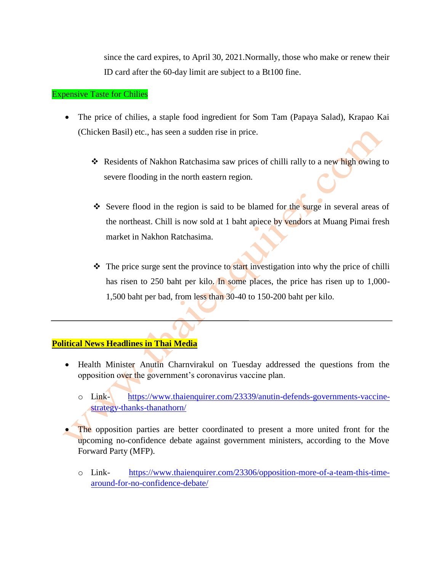since the card expires, to April 30, 2021.Normally, those who make or renew their ID card after the 60-day limit are subject to a Bt100 fine.

#### Expensive Taste for Chilies

- The price of chilies, a staple food ingredient for Som Tam (Papaya Salad), Krapao Kai (Chicken Basil) etc., has seen a sudden rise in price.
	- \* Residents of Nakhon Ratchasima saw prices of chilli rally to a new high owing to severe flooding in the north eastern region.
	- Severe flood in the region is said to be blamed for the surge in several areas of the northeast. Chill is now sold at 1 baht apiece by vendors at Muang Pimai fresh market in Nakhon Ratchasima.
	- $\triangle$  The price surge sent the province to start investigation into why the price of chilli has risen to 250 baht per kilo. In some places, the price has risen up to 1,000-1,500 baht per bad, from less than 30-40 to 150-200 baht per kilo.

## **Political News Headlines in Thai Media**

- Health Minister Anutin Charnvirakul on Tuesday addressed the questions from the opposition over the government's coronavirus vaccine plan.
	- o Link- [https://www.thaienquirer.com/23339/anutin-defends-governments-vaccine](https://www.thaienquirer.com/23339/anutin-defends-governments-vaccine-strategy-thanks-thanathorn/)[strategy-thanks-thanathorn/](https://www.thaienquirer.com/23339/anutin-defends-governments-vaccine-strategy-thanks-thanathorn/)
- The opposition parties are better coordinated to present a more united front for the upcoming no-confidence debate against government ministers, according to the Move Forward Party (MFP).
	- o Link- [https://www.thaienquirer.com/23306/opposition-more-of-a-team-this-time](https://www.thaienquirer.com/23306/opposition-more-of-a-team-this-time-around-for-no-confidence-debate/)[around-for-no-confidence-debate/](https://www.thaienquirer.com/23306/opposition-more-of-a-team-this-time-around-for-no-confidence-debate/)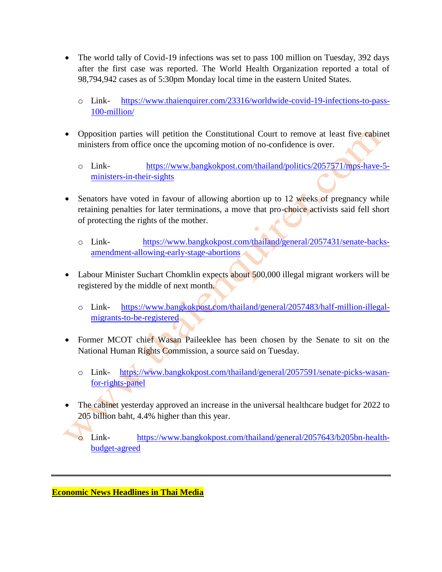- The world tally of Covid-19 infections was set to pass 100 million on Tuesday, 392 days after the first case was reported. The World Health Organization reported a total of 98,794,942 cases as of 5:30pm Monday local time in the eastern United States.
	- o Link- [https://www.thaienquirer.com/23316/worldwide-covid-19-infections-to-pass-](https://www.thaienquirer.com/23316/worldwide-covid-19-infections-to-pass-100-million/)[100-million/](https://www.thaienquirer.com/23316/worldwide-covid-19-infections-to-pass-100-million/)
- Opposition parties will petition the Constitutional Court to remove at least five cabinet ministers from office once the upcoming motion of no-confidence is over.
	- o Link- [https://www.bangkokpost.com/thailand/politics/2057571/mps-have-5](https://www.bangkokpost.com/thailand/politics/2057571/mps-have-5-ministers-in-their-sights) [ministers-in-their-sights](https://www.bangkokpost.com/thailand/politics/2057571/mps-have-5-ministers-in-their-sights)
- Senators have voted in favour of allowing abortion up to 12 weeks of pregnancy while retaining penalties for later terminations, a move that pro-choice activists said fell short of protecting the rights of the mother.
	- o Link- [https://www.bangkokpost.com/thailand/general/2057431/senate-backs](https://www.bangkokpost.com/thailand/general/2057431/senate-backs-amendment-allowing-early-stage-abortions)[amendment-allowing-early-stage-abortions](https://www.bangkokpost.com/thailand/general/2057431/senate-backs-amendment-allowing-early-stage-abortions)
- Labour Minister Suchart Chomklin expects about 500,000 illegal migrant workers will be registered by the middle of next month.
	- o Link- [https://www.bangkokpost.com/thailand/general/2057483/half-million-illegal](https://www.bangkokpost.com/thailand/general/2057483/half-million-illegal-migrants-to-be-registered)[migrants-to-be-registered](https://www.bangkokpost.com/thailand/general/2057483/half-million-illegal-migrants-to-be-registered)
- Former MCOT chief Wasan Paileeklee has been chosen by the Senate to sit on the National Human Rights Commission, a source said on Tuesday.
	- o Link- [https://www.bangkokpost.com/thailand/general/2057591/senate-picks-wasan](https://www.bangkokpost.com/thailand/general/2057591/senate-picks-wasan-for-rights-panel)[for-rights-panel](https://www.bangkokpost.com/thailand/general/2057591/senate-picks-wasan-for-rights-panel)
- The cabinet yesterday approved an increase in the universal healthcare budget for 2022 to 205 billion baht, 4.4% higher than this year.

o Link- [https://www.bangkokpost.com/thailand/general/2057643/b205bn-health](https://www.bangkokpost.com/thailand/general/2057643/b205bn-health-budget-agreed)[budget-agreed](https://www.bangkokpost.com/thailand/general/2057643/b205bn-health-budget-agreed)

**Economic News Headlines in Thai Media**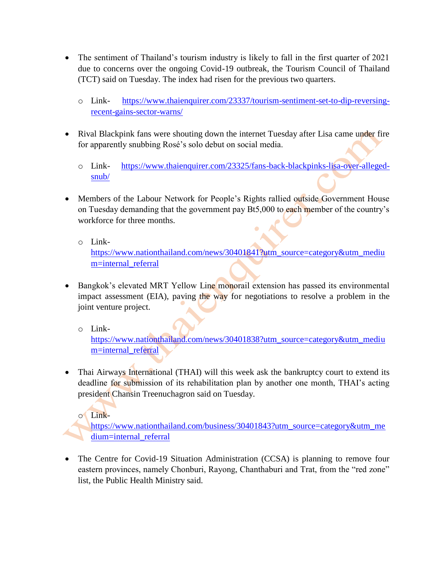- The sentiment of Thailand's tourism industry is likely to fall in the first quarter of 2021 due to concerns over the ongoing Covid-19 outbreak, the Tourism Council of Thailand (TCT) said on Tuesday. The index had risen for the previous two quarters.
	- o Link- [https://www.thaienquirer.com/23337/tourism-sentiment-set-to-dip-reversing](https://www.thaienquirer.com/23337/tourism-sentiment-set-to-dip-reversing-recent-gains-sector-warns/)[recent-gains-sector-warns/](https://www.thaienquirer.com/23337/tourism-sentiment-set-to-dip-reversing-recent-gains-sector-warns/)
- Rival Blackpink fans were shouting down the internet Tuesday after Lisa came under fire for apparently snubbing Rosé's solo debut on social media.
	- o Link- [https://www.thaienquirer.com/23325/fans-back-blackpinks-lisa-over-alleged](https://www.thaienquirer.com/23325/fans-back-blackpinks-lisa-over-alleged-snub/)[snub/](https://www.thaienquirer.com/23325/fans-back-blackpinks-lisa-over-alleged-snub/)
- Members of the Labour Network for People's Rights rallied outside Government House on Tuesday demanding that the government pay Bt5,000 to each member of the country's workforce for three months.
	- o Link-

[https://www.nationthailand.com/news/30401841?utm\\_source=category&utm\\_mediu](https://www.nationthailand.com/news/30401841?utm_source=category&utm_medium=internal_referral) [m=internal\\_referral](https://www.nationthailand.com/news/30401841?utm_source=category&utm_medium=internal_referral)

- Bangkok's elevated MRT Yellow Line monorail extension has passed its environmental impact assessment (EIA), paving the way for negotiations to resolve a problem in the joint venture project.
	- o Link-

[https://www.nationthailand.com/news/30401838?utm\\_source=category&utm\\_mediu](https://www.nationthailand.com/news/30401838?utm_source=category&utm_medium=internal_referral) [m=internal\\_referral](https://www.nationthailand.com/news/30401838?utm_source=category&utm_medium=internal_referral)

• Thai Airways International (THAI) will this week ask the bankruptcy court to extend its deadline for submission of its rehabilitation plan by another one month, THAI's acting president Chansin Treenuchagron said on Tuesday.

o Link-

[https://www.nationthailand.com/business/30401843?utm\\_source=category&utm\\_me](https://www.nationthailand.com/business/30401843?utm_source=category&utm_medium=internal_referral) [dium=internal\\_referral](https://www.nationthailand.com/business/30401843?utm_source=category&utm_medium=internal_referral)

• The Centre for Covid-19 Situation Administration (CCSA) is planning to remove four eastern provinces, namely Chonburi, Rayong, Chanthaburi and Trat, from the "red zone" list, the Public Health Ministry said.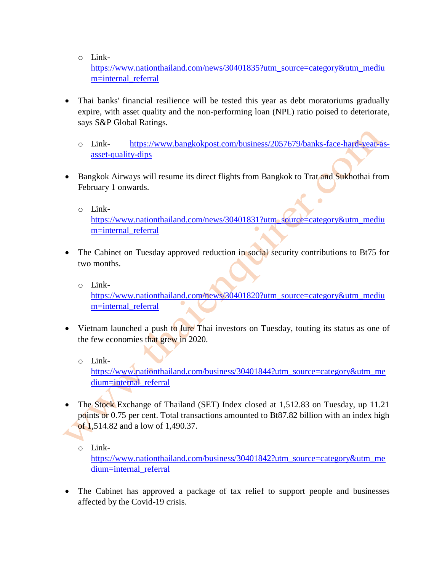o Link-

[https://www.nationthailand.com/news/30401835?utm\\_source=category&utm\\_mediu](https://www.nationthailand.com/news/30401835?utm_source=category&utm_medium=internal_referral) [m=internal\\_referral](https://www.nationthailand.com/news/30401835?utm_source=category&utm_medium=internal_referral)

- Thai banks' financial resilience will be tested this year as debt moratoriums gradually expire, with asset quality and the non-performing loan (NPL) ratio poised to deteriorate, says S&P Global Ratings.
	- o Link- [https://www.bangkokpost.com/business/2057679/banks-face-hard-year-as](https://www.bangkokpost.com/business/2057679/banks-face-hard-year-as-asset-quality-dips)[asset-quality-dips](https://www.bangkokpost.com/business/2057679/banks-face-hard-year-as-asset-quality-dips)
- Bangkok Airways will resume its direct flights from Bangkok to Trat and Sukhothai from February 1 onwards.
	- o Link-

[https://www.nationthailand.com/news/30401831?utm\\_source=category&utm\\_mediu](https://www.nationthailand.com/news/30401831?utm_source=category&utm_medium=internal_referral) [m=internal\\_referral](https://www.nationthailand.com/news/30401831?utm_source=category&utm_medium=internal_referral)

 $\bullet$ 

- The Cabinet on Tuesday approved reduction in social security contributions to Bt75 for two months.
	- o Link-

[https://www.nationthailand.com/news/30401820?utm\\_source=category&utm\\_mediu](https://www.nationthailand.com/news/30401820?utm_source=category&utm_medium=internal_referral) [m=internal\\_referral](https://www.nationthailand.com/news/30401820?utm_source=category&utm_medium=internal_referral)

- Vietnam launched a push to lure Thai investors on Tuesday, touting its status as one of the few economies that grew in 2020.
	- o Link-

[https://www.nationthailand.com/business/30401844?utm\\_source=category&utm\\_me](https://www.nationthailand.com/business/30401844?utm_source=category&utm_medium=internal_referral) [dium=internal\\_referral](https://www.nationthailand.com/business/30401844?utm_source=category&utm_medium=internal_referral)

- The Stock Exchange of Thailand (SET) Index closed at 1,512.83 on Tuesday, up 11.21 points or 0.75 per cent. Total transactions amounted to Bt87.82 billion with an index high of 1,514.82 and a low of 1,490.37.
	- o Link-

[https://www.nationthailand.com/business/30401842?utm\\_source=category&utm\\_me](https://www.nationthailand.com/business/30401842?utm_source=category&utm_medium=internal_referral) [dium=internal\\_referral](https://www.nationthailand.com/business/30401842?utm_source=category&utm_medium=internal_referral)

• The Cabinet has approved a package of tax relief to support people and businesses affected by the Covid-19 crisis.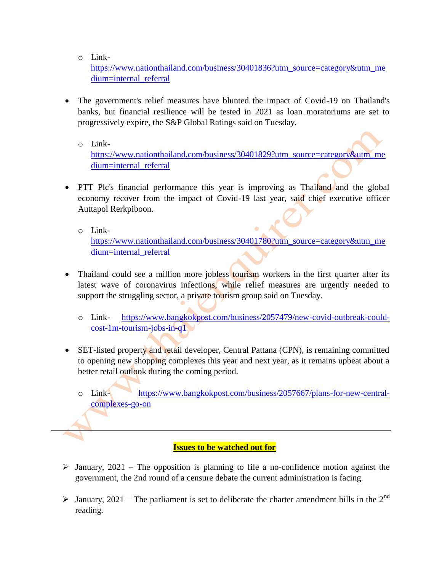o Link-

[https://www.nationthailand.com/business/30401836?utm\\_source=category&utm\\_me](https://www.nationthailand.com/business/30401836?utm_source=category&utm_medium=internal_referral) [dium=internal\\_referral](https://www.nationthailand.com/business/30401836?utm_source=category&utm_medium=internal_referral)

- The government's relief measures have blunted the impact of Covid-19 on Thailand's banks, but financial resilience will be tested in 2021 as loan moratoriums are set to progressively expire, the S&P Global Ratings said on Tuesday.
	- o Link-

[https://www.nationthailand.com/business/30401829?utm\\_source=category&utm\\_me](https://www.nationthailand.com/business/30401829?utm_source=category&utm_medium=internal_referral) [dium=internal\\_referral](https://www.nationthailand.com/business/30401829?utm_source=category&utm_medium=internal_referral)

- PTT Plc's financial performance this year is improving as Thailand and the global economy recover from the impact of Covid-19 last year, said chief executive officer Auttapol Rerkpiboon.
	- o Link-

[https://www.nationthailand.com/business/30401780?utm\\_source=category&utm\\_me](https://www.nationthailand.com/business/30401780?utm_source=category&utm_medium=internal_referral) [dium=internal\\_referral](https://www.nationthailand.com/business/30401780?utm_source=category&utm_medium=internal_referral)

- Thailand could see a million more jobless tourism workers in the first quarter after its latest wave of coronavirus infections, while relief measures are urgently needed to support the struggling sector, a private tourism group said on Tuesday.
	- o Link- [https://www.bangkokpost.com/business/2057479/new-covid-outbreak-could](https://www.bangkokpost.com/business/2057479/new-covid-outbreak-could-cost-1m-tourism-jobs-in-q1)[cost-1m-tourism-jobs-in-q1](https://www.bangkokpost.com/business/2057479/new-covid-outbreak-could-cost-1m-tourism-jobs-in-q1)
- SET-listed property and retail developer, Central Pattana (CPN), is remaining committed to opening new shopping complexes this year and next year, as it remains upbeat about a better retail outlook during the coming period.
	- o Link- [https://www.bangkokpost.com/business/2057667/plans-for-new-central](https://www.bangkokpost.com/business/2057667/plans-for-new-central-complexes-go-on)[complexes-go-on](https://www.bangkokpost.com/business/2057667/plans-for-new-central-complexes-go-on)

## **Issues to be watched out for**

- $\triangleright$  January, 2021 The opposition is planning to file a no-confidence motion against the government, the 2nd round of a censure debate the current administration is facing.
- $\triangleright$  January, 2021 The parliament is set to deliberate the charter amendment bills in the 2<sup>nd</sup> reading.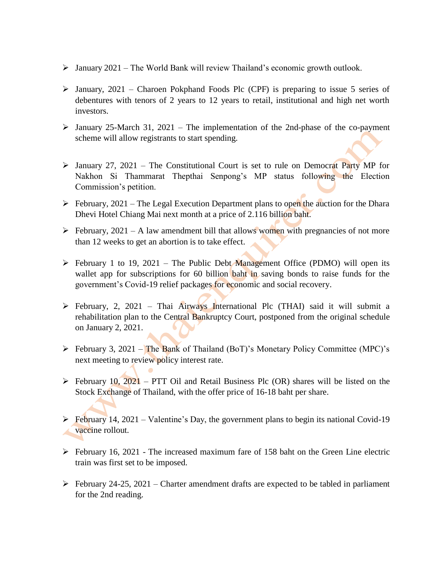- $\triangleright$  January 2021 The World Bank will review Thailand's economic growth outlook.
- $\triangleright$  January, 2021 Charoen Pokphand Foods Plc (CPF) is preparing to issue 5 series of debentures with tenors of 2 years to 12 years to retail, institutional and high net worth investors.
- $\triangleright$  January 25-March 31, 2021 The implementation of the 2nd-phase of the co-payment scheme will allow registrants to start spending.
- $\triangleright$  January 27, 2021 The Constitutional Court is set to rule on Democrat Party MP for Nakhon Si Thammarat Thepthai Senpong's MP status following the Election Commission's petition.
- $\triangleright$  February, 2021 The Legal Execution Department plans to open the auction for the Dhara Dhevi Hotel Chiang Mai next month at a price of 2.116 billion baht.
- $\triangleright$  February, 2021 A law amendment bill that allows women with pregnancies of not more than 12 weeks to get an abortion is to take effect.
- $\triangleright$  February 1 to 19, 2021 The Public Debt Management Office (PDMO) will open its wallet app for subscriptions for 60 billion baht in saving bonds to raise funds for the government's Covid-19 relief packages for economic and social recovery.
- $\triangleright$  February, 2, 2021 Thai Airways International Plc (THAI) said it will submit a rehabilitation plan to the Central Bankruptcy Court, postponed from the original schedule on January 2, 2021.
- $\triangleright$  February 3, 2021 The Bank of Thailand (BoT)'s Monetary Policy Committee (MPC)'s next meeting to review policy interest rate.
- $\triangleright$  February 10, 2021 PTT Oil and Retail Business Plc (OR) shares will be listed on the Stock Exchange of Thailand, with the offer price of 16-18 baht per share.
- $\triangleright$  February 14, 2021 Valentine's Day, the government plans to begin its national Covid-19 vaccine rollout.
- $\triangleright$  February 16, 2021 The increased maximum fare of 158 baht on the Green Line electric train was first set to be imposed.
- $\triangleright$  February 24-25, 2021 Charter amendment drafts are expected to be tabled in parliament for the 2nd reading.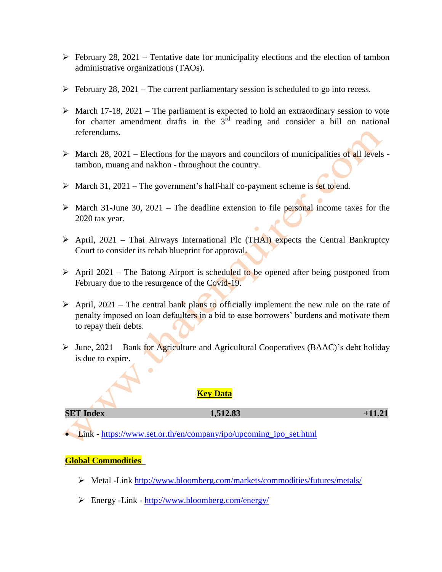- $\triangleright$  February 28, 2021 Tentative date for municipality elections and the election of tambon administrative organizations (TAOs).
- $\triangleright$  February 28, 2021 The current parliamentary session is scheduled to go into recess.
- $\triangleright$  March 17-18, 2021 The parliament is expected to hold an extraordinary session to vote for charter amendment drafts in the  $3<sup>rd</sup>$  reading and consider a bill on national referendums.
- $\triangleright$  March 28, 2021 Elections for the mayors and councilors of municipalities of all levels tambon, muang and nakhon - throughout the country.
- $\triangleright$  March 31, 2021 The government's half-half co-payment scheme is set to end.
- $\triangleright$  March 31-June 30, 2021 The deadline extension to file personal income taxes for the 2020 tax year.
- $\triangleright$  April, 2021 Thai Airways International Plc (THAI) expects the Central Bankruptcy Court to consider its rehab blueprint for approval.
- $\triangleright$  April 2021 The Batong Airport is scheduled to be opened after being postponed from February due to the resurgence of the Covid-19.
- $\triangleright$  April, 2021 The central bank plans to officially implement the new rule on the rate of penalty imposed on loan defaulters in a bid to ease borrowers' burdens and motivate them to repay their debts.
- $\triangleright$  June, 2021 Bank for Agriculture and Agricultural Cooperatives (BAAC)'s debt holiday is due to expire.

## **Key Data**

#### **SET Index 1,512.83 +11.21**

• Link - [https://www.set.or.th/en/company/ipo/upcoming\\_ipo\\_set.html](https://www.set.or.th/en/company/ipo/upcoming_ipo_set.html)

#### **Global Commodities**

- Metal -Link<http://www.bloomberg.com/markets/commodities/futures/metals/>
- Energy -Link <http://www.bloomberg.com/energy/>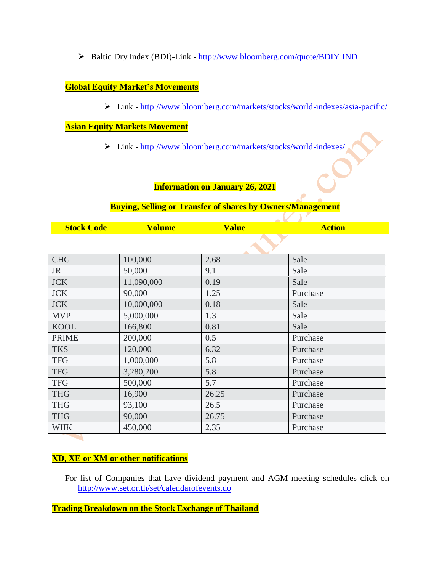Baltic Dry Index (BDI)-Link - <http://www.bloomberg.com/quote/BDIY:IND>

## **Global Equity Market's Movements**

Link - <http://www.bloomberg.com/markets/stocks/world-indexes/asia-pacific/>

Y.

## **Asian Equity Markets Movement**

Link - <http://www.bloomberg.com/markets/stocks/world-indexes/>

## **Information on January 26, 2021**

#### **Buying, Selling or Transfer of shares by Owners/Management**

| <b>Stock Code</b> | Volume | $\mathbf{V}$ . 1. | <b>Action</b> |
|-------------------|--------|-------------------|---------------|
|                   |        |                   |               |

| <b>CHG</b>   | 100,000    | 2.68  | Sale     |  |  |
|--------------|------------|-------|----------|--|--|
| <b>JR</b>    | 50,000     | 9.1   | Sale     |  |  |
| <b>JCK</b>   | 11,090,000 | 0.19  | Sale     |  |  |
| <b>JCK</b>   | 90,000     | 1.25  | Purchase |  |  |
| <b>JCK</b>   | 10,000,000 | 0.18  | Sale     |  |  |
| <b>MVP</b>   | 5,000,000  | 1.3   | Sale     |  |  |
| <b>KOOL</b>  | 166,800    | 0.81  | Sale     |  |  |
| <b>PRIME</b> | 200,000    | 0.5   | Purchase |  |  |
| <b>TKS</b>   | 120,000    | 6.32  | Purchase |  |  |
| <b>TFG</b>   | 1,000,000  | 5.8   | Purchase |  |  |
| <b>TFG</b>   | 3,280,200  | 5.8   | Purchase |  |  |
| <b>TFG</b>   | 500,000    | 5.7   | Purchase |  |  |
| <b>THG</b>   | 16,900     | 26.25 | Purchase |  |  |
| <b>THG</b>   | 93,100     | 26.5  | Purchase |  |  |
| <b>THG</b>   | 90,000     | 26.75 | Purchase |  |  |
| <b>WIIK</b>  | 450,000    | 2.35  | Purchase |  |  |

## **XD, XE or XM or other notifications**

For list of Companies that have dividend payment and AGM meeting schedules click on <http://www.set.or.th/set/calendarofevents.do>

**Trading Breakdown on the Stock Exchange of Thailand**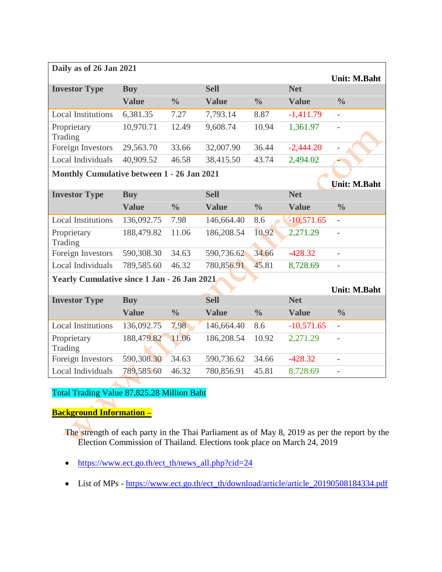| Daily as of 26 Jan 2021                            |              |               |              |               |              |                          |  |  |  |
|----------------------------------------------------|--------------|---------------|--------------|---------------|--------------|--------------------------|--|--|--|
| <b>Investor Type</b>                               | <b>Buy</b>   |               | <b>Sell</b>  |               | <b>Net</b>   | <b>Unit: M.Baht</b>      |  |  |  |
|                                                    | <b>Value</b> | $\frac{0}{0}$ | <b>Value</b> | $\frac{0}{0}$ | <b>Value</b> | $\frac{0}{0}$            |  |  |  |
| <b>Local Institutions</b>                          | 6,381.35     | 7.27          | 7,793.14     | 8.87          | $-1,411.79$  | $\overline{\phantom{0}}$ |  |  |  |
| Proprietary<br>Trading                             | 10,970.71    | 12.49         | 9,608.74     | 10.94         | 1,361.97     | $\bar{ }$                |  |  |  |
| Foreign Investors                                  | 29,563.70    | 33.66         | 32,007.90    | 36.44         | $-2,444.20$  | $\overline{a}$           |  |  |  |
| Local Individuals                                  | 40,909.52    | 46.58         | 38,415.50    | 43.74         | 2,494.02     |                          |  |  |  |
| Monthly Cumulative between 1 - 26 Jan 2021         |              |               |              |               |              |                          |  |  |  |
|                                                    |              |               |              |               |              | Unit: M.Baht             |  |  |  |
| <b>Investor Type</b>                               | <b>Buy</b>   |               | <b>Sell</b>  |               | <b>Net</b>   |                          |  |  |  |
|                                                    | <b>Value</b> | $\frac{0}{0}$ | <b>Value</b> | $\frac{0}{0}$ | <b>Value</b> | $\frac{0}{0}$            |  |  |  |
| <b>Local Institutions</b>                          | 136,092.75   | 7.98          | 146,664.40   | 8.6           | $-10,571.65$ | $\bar{\phantom{a}}$      |  |  |  |
| Proprietary<br>Trading                             | 188,479.82   | 11.06         | 186,208.54   | 10.92         | 2,271.29     | $\bar{\phantom{a}}$      |  |  |  |
| Foreign Investors                                  | 590,308.30   | 34.63         | 590,736.62   | 34.66         | $-428.32$    | $\overline{a}$           |  |  |  |
| Local Individuals                                  | 789,585.60   | 46.32         | 780,856.91   | 45.81         | 8,728.69     |                          |  |  |  |
| <b>Yearly Cumulative since 1 Jan - 26 Jan 2021</b> |              |               |              |               |              |                          |  |  |  |
|                                                    |              |               |              |               |              | Unit: M.Baht             |  |  |  |
| <b>Investor Type</b>                               | <b>Buy</b>   |               | <b>Sell</b>  |               | <b>Net</b>   |                          |  |  |  |
|                                                    | <b>Value</b> | $\frac{0}{0}$ | <b>Value</b> | $\frac{0}{0}$ | <b>Value</b> | $\frac{0}{0}$            |  |  |  |
| <b>Local Institutions</b>                          | 136,092.75   | 7.98          | 146,664.40   | 8.6           | $-10,571.65$ | $\overline{\phantom{0}}$ |  |  |  |
| Proprietary<br>Trading                             | 188,479.82   | 11.06         | 186,208.54   | 10.92         | 2,271.29     | $\overline{\phantom{a}}$ |  |  |  |
| Foreign Investors                                  | 590,308.30   | 34.63         | 590,736.62   | 34.66         | $-428.32$    | $\overline{a}$           |  |  |  |
| Local Individuals                                  | 789,585.60   | 46.32         | 780,856.91   | 45.81         | 8,728.69     | $\overline{\phantom{0}}$ |  |  |  |

# Total Trading Value 87,825.28 Million Baht

# **Background Information –**

The strength of each party in the Thai Parliament as of May 8, 2019 as per the report by the Election Commission of Thailand. Elections took place on March 24, 2019

- [https://www.ect.go.th/ect\\_th/news\\_all.php?cid=24](https://www.ect.go.th/ect_th/news_all.php?cid=24)
- List of MPs [https://www.ect.go.th/ect\\_th/download/article/article\\_20190508184334.pdf](https://www.ect.go.th/ect_th/download/article/article_20190508184334.pdf)